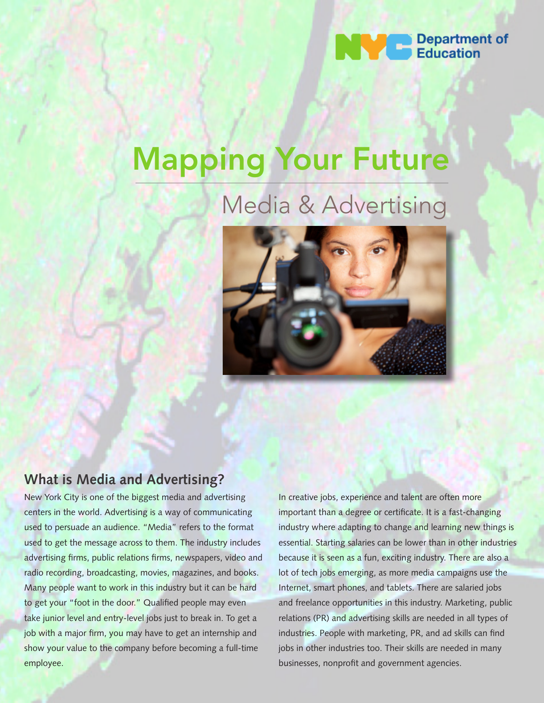

# Mapping Your Future

# Media & Advertising



### **What is Media and Advertising?**

New York City is one of the biggest media and advertising centers in the world. Advertising is a way of communicating used to persuade an audience. "Media" refers to the format used to get the message across to them. The industry includes advertising firms, public relations firms, newspapers, video and radio recording, broadcasting, movies, magazines, and books. Many people want to work in this industry but it can be hard to get your "foot in the door." Qualified people may even take junior level and entry-level jobs just to break in. To get a job with a major firm, you may have to get an internship and show your value to the company before becoming a full-time employee.

In creative jobs, experience and talent are often more important than a degree or certificate. It is a fast-changing industry where adapting to change and learning new things is essential. Starting salaries can be lower than in other industries because it is seen as a fun, exciting industry. There are also a lot of tech jobs emerging, as more media campaigns use the Internet, smart phones, and tablets. There are salaried jobs and freelance opportunities in this industry. Marketing, public relations (PR) and advertising skills are needed in all types of industries. People with marketing, PR, and ad skills can find jobs in other industries too. Their skills are needed in many businesses, nonprofit and government agencies.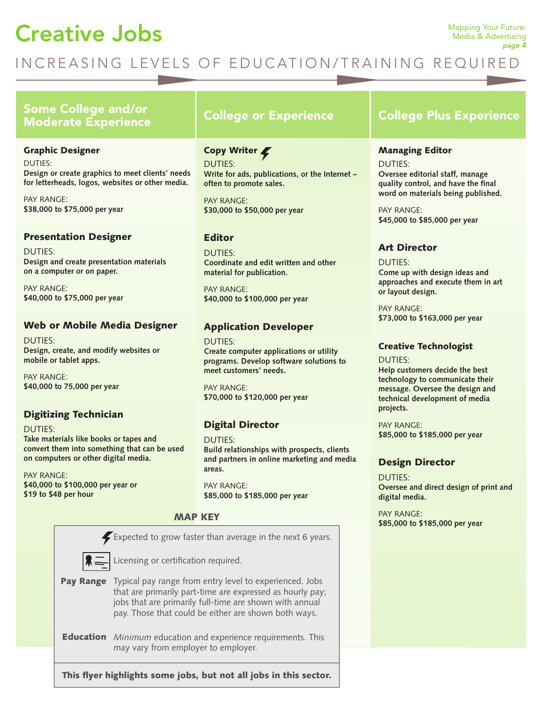# **Creative Jobs** Mapping Your Future:

### INCREASING LEVELS OF EDUCATION/TRAINING REQUIRED

### Some College and/or Moderate Experience College or Experience College Plus Experience

#### Graphic Designer

DUTIES: **Design or create graphics to meet clients' needs for letterheads, logos, websites or other media.**

PAY RANGE: **\$38,000 to \$75,000 per year**

#### Presentation Designer

DUTIES: **Design and create presentation materials on a computer or on paper.** 

PAY RANGE: **\$40,000 to \$75,000 per year**

#### Web or Mobile Media Designer

DUTIES: **Design, create, and modify websites or mobile or tablet apps.** 

PAY RANGE: **\$40,000 to 75,000 per year**

#### Digitizing Technician

DUTIES: **Take materials like books or tapes and convert them into something that can be used on computers or other digital media.** 

PAY RANGE: **\$40,000 to \$100,000 per year or \$19 to \$48 per hour**

#### Copy Writer  $\blacktriangleright$ DUTIES:

**Write for ads, publications, or the Internet – often to promote sales.**

PAY RANGE: **\$30,000 to \$50,000 per year**

#### Editor

DUTIES: **Coordinate and edit written and other material for publication.** 

PAY RANGE: **\$40,000 to \$100,000 per year**

#### Application Developer

DUTIES: **Create computer applications or utility programs. Develop software solutions to meet customers' needs.** 

PAY RANGE: **\$70,000 to \$120,000 per year**

#### Digital Director

DUTIES: **Build relationships with prospects, clients and partners in online marketing and media areas.**

PAY RANGE: **\$85,000 to \$185,000 per year** 



#### Managing Editor

DUTIES: **Oversee editorial staff, manage quality control, and have the final word on materials being published.**

PAY RANGE: **\$45,000 to \$85,000 per year**

#### Art Director

DUTIES: **Come up with design ideas and approaches and execute them in art or layout design.** 

PAY RANGE: **\$73,000 to \$163,000 per year**

#### Creative Technologist

DUTIES: **Help customers decide the best technology to communicate their message. Oversee the design and technical development of media projects.**

PAY RANGE: **\$85,000 to \$185,000 per year** 

#### Design Director

DUTIES: **Oversee and direct design of print and digital media.** 

PAY RANGE: **MAP KEY EXAMPRODUCE**<br> **EXAMPRODUCE**<br> **\$85,000 to \$185,000 per year** 

This flyer highlights some jobs, but not all jobs in this sector.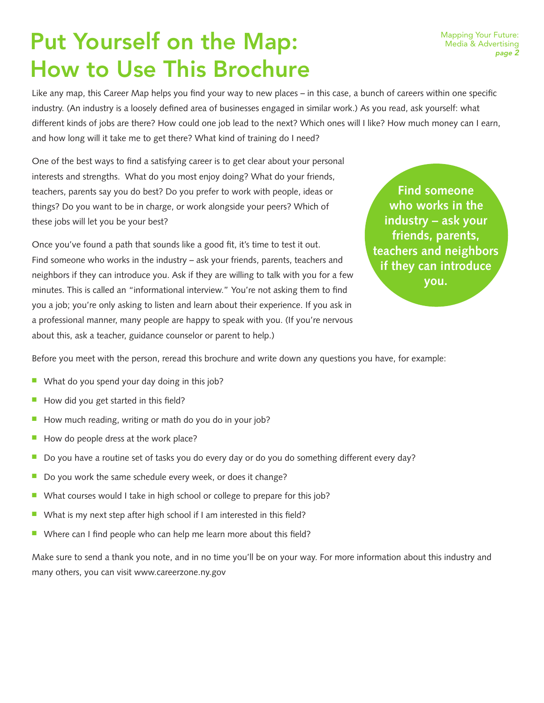### Put Yourself on the Map: How to Use This Brochure

Like any map, this Career Map helps you find your way to new places – in this case, a bunch of careers within one specific industry. (An industry is a loosely defined area of businesses engaged in similar work.) As you read, ask yourself: what different kinds of jobs are there? How could one job lead to the next? Which ones will I like? How much money can I earn, and how long will it take me to get there? What kind of training do I need?

One of the best ways to find a satisfying career is to get clear about your personal interests and strengths. What do you most enjoy doing? What do your friends, teachers, parents say you do best? Do you prefer to work with people, ideas or things? Do you want to be in charge, or work alongside your peers? Which of these jobs will let you be your best?

Once you've found a path that sounds like a good fit, it's time to test it out. Find someone who works in the industry – ask your friends, parents, teachers and neighbors if they can introduce you. Ask if they are willing to talk with you for a few minutes. This is called an "informational interview." You're not asking them to find you a job; you're only asking to listen and learn about their experience. If you ask in a professional manner, many people are happy to speak with you. (If you're nervous about this, ask a teacher, guidance counselor or parent to help.)

**Find someone who works in the industry – ask your friends, parents, teachers and neighbors if they can introduce you.**

Before you meet with the person, reread this brochure and write down any questions you have, for example:

- $\blacksquare$  What do you spend your day doing in this job?
- $\blacksquare$  How did you get started in this field?
- $\blacksquare$  How much reading, writing or math do you do in your job?
- How do people dress at the work place?
- Do you have a routine set of tasks you do every day or do you do something different every day?
- $\blacksquare$  Do you work the same schedule every week, or does it change?
- What courses would I take in high school or college to prepare for this job?
- $\blacksquare$  What is my next step after high school if I am interested in this field?
- Where can I find people who can help me learn more about this field?

Make sure to send a thank you note, and in no time you'll be on your way. For more information about this industry and many others, you can visit www.careerzone.ny.gov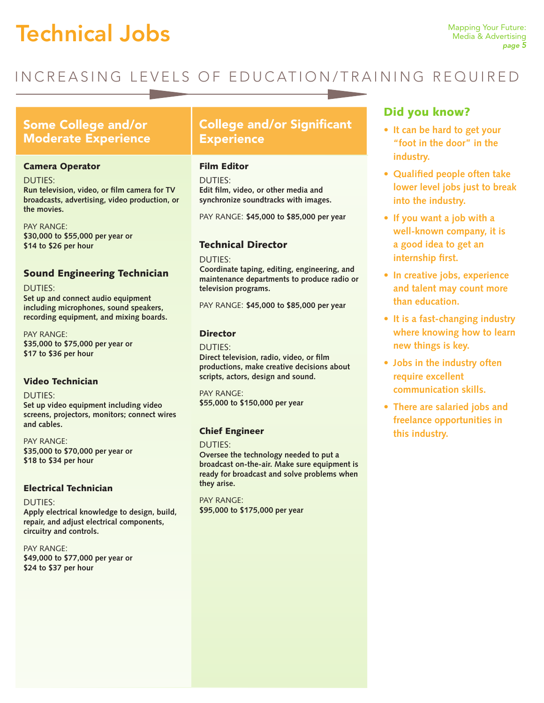# **Technical Jobs** Mapping Your Future:

### INCREASING LEVELS OF EDUCATION/TRAINING REQUIRED

#### Some College and/or Moderate Experience

#### Camera Operator

DUTIES:

**Run television, video, or film camera for TV broadcasts, advertising, video production, or the movies.**

PAY RANGE: **\$30,000 to \$55,000 per year or \$14 to \$26 per hour**

#### Sound Engineering Technician

DUTIES: **Set up and connect audio equipment including microphones, sound speakers, recording equipment, and mixing boards.** 

PAY RANGE: **\$35,000 to \$75,000 per year or \$17 to \$36 per hour**

#### Video Technician

DUTIES:

**Set up video equipment including video screens, projectors, monitors; connect wires and cables.**

PAY RANGE: **\$35,000 to \$70,000 per year or \$18 to \$34 per hour** 

#### Electrical Technician

DUTIES: **Apply electrical knowledge to design, build, repair, and adjust electrical components, circuitry and controls.**

PAY RANGE: **\$49,000 to \$77,000 per year or \$24 to \$37 per hour**

### College and/or Significant **Experience**

#### Film Editor

DUTIES: **Edit film, video, or other media and synchronize soundtracks with images.**

PAY RANGE: **\$45,000 to \$85,000 per year**

#### Technical Director

DUTIES:

**Coordinate taping, editing, engineering, and maintenance departments to produce radio or television programs.** 

PAY RANGE: **\$45,000 to \$85,000 per year**

#### Director

DUTIES: **Direct television, radio, video, or film productions, make creative decisions about scripts, actors, design and sound.**

PAY RANGE: **\$55,000 to \$150,000 per year** 

#### Chief Engineer

DUTIES: **Oversee the technology needed to put a broadcast on-the-air. Make sure equipment is ready for broadcast and solve problems when they arise.**

PAY RANGE: **\$95,000 to \$175,000 per year**

#### Did you know?

- **• It can be hard to get your "foot in the door" in the industry.**
- **• Qualified people often take lower level jobs just to break into the industry.**
- **• If you want a job with a well-known company, it is a good idea to get an internship first.**
- **• In creative jobs, experience and talent may count more than education.**
- **• It is a fast-changing industry where knowing how to learn new things is key.**
- **• Jobs in the industry often require excellent communication skills.**
- **• There are salaried jobs and freelance opportunities in this industry.**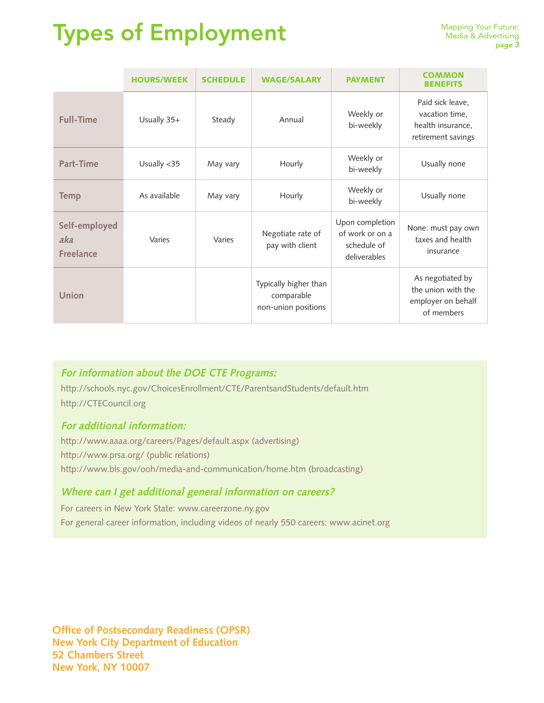# Types of Employment

|                                          | <b>HOURS/WEEK</b> | <b>SCHEDULE</b> | <b>WAGE/SALARY</b>                                         | <b>PAYMENT</b>                                                    | COMMON<br><b>BENEFITS</b>                                                     |
|------------------------------------------|-------------------|-----------------|------------------------------------------------------------|-------------------------------------------------------------------|-------------------------------------------------------------------------------|
| <b>Full-Time</b>                         | Usually 35+       | Steady          | Annual                                                     | Weekly or<br>bi-weekly                                            | Paid sick leave,<br>vacation time,<br>health insurance,<br>retirement savings |
| Part-Time                                | Usually <35       | May vary        | Hourly                                                     | Weekly or<br>bi-weekly                                            | Usually none                                                                  |
| <b>Temp</b>                              | As available      | May vary        | Hourly                                                     | Weekly or<br>bi-weekly                                            | Usually none                                                                  |
| Self-employed<br>aka<br><b>Freelance</b> | Varies            | Varies          | Negotiate rate of<br>pay with client                       | Upon completion<br>of work or on a<br>schedule of<br>deliverables | None: must pay own<br>taxes and health<br>insurance                           |
| <b>Union</b>                             |                   |                 | Typically higher than<br>comparable<br>non-union positions |                                                                   | As negotiated by<br>the union with the<br>employer on behalf<br>of members    |

#### **For information about the DOE CTE Programs:**

http://schools.nyc.gov/ChoicesEnrollment/CTE/ParentsandStudents/default.htm http://CTECouncil.org

#### **For additional information:**

http://www.aaaa.org/careers/Pages/default.aspx (advertising) http://www.prsa.org/ (public relations) http://www.bls.gov/ooh/media-and-communication/home.htm (broadcasting)

#### **Where can I get additional general information on careers?**

For careers in New York State: www.careerzone.ny.gov For general career information, including videos of nearly 550 careers: www.acinet.org

**Office of Postsecondary Readiness (OPSR) New York City Department of Education 52 Chambers Street New York, NY 10007**